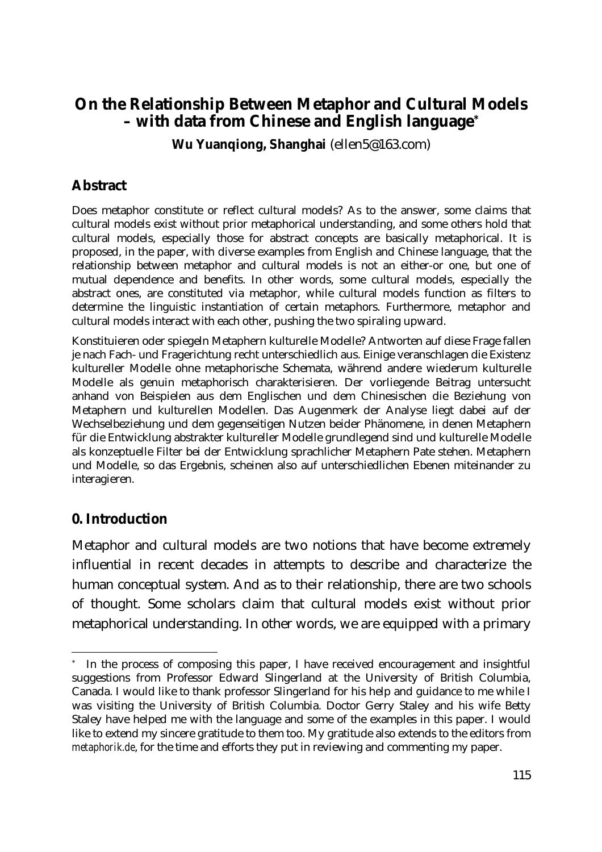# **On the Relationship Between Metaphor and Cultural Models – with data from Chinese and English language\***

**Wu Yuanqiong, Shanghai** (ellen5@163.com)

### **Abstract**

Does metaphor constitute or reflect cultural models? As to the answer, some claims that cultural models exist without prior metaphorical understanding, and some others hold that cultural models, especially those for abstract concepts are basically metaphorical. It is proposed, in the paper, with diverse examples from English and Chinese language, that the relationship between metaphor and cultural models is not an either-or one, but one of mutual dependence and benefits. In other words, some cultural models, especially the abstract ones, are constituted via metaphor, while cultural models function as filters to determine the linguistic instantiation of certain metaphors. Furthermore, metaphor and cultural models interact with each other, pushing the two spiraling upward.

Konstituieren oder spiegeln Metaphern kulturelle Modelle? Antworten auf diese Frage fallen je nach Fach- und Fragerichtung recht unterschiedlich aus. Einige veranschlagen die Existenz kultureller Modelle ohne metaphorische Schemata, während andere wiederum kulturelle Modelle als genuin metaphorisch charakterisieren. Der vorliegende Beitrag untersucht anhand von Beispielen aus dem Englischen und dem Chinesischen die Beziehung von Metaphern und kulturellen Modellen. Das Augenmerk der Analyse liegt dabei auf der Wechselbeziehung und dem gegenseitigen Nutzen beider Phänomene, in denen Metaphern für die Entwicklung abstrakter kultureller Modelle grundlegend sind und kulturelle Modelle als konzeptuelle Filter bei der Entwicklung sprachlicher Metaphern Pate stehen. Metaphern und Modelle, so das Ergebnis, scheinen also auf unterschiedlichen Ebenen miteinander zu interagieren.

#### **0. Introduction**

 $\overline{a}$ 

Metaphor and cultural models are two notions that have become extremely influential in recent decades in attempts to describe and characterize the human conceptual system. And as to their relationship, there are two schools of thought. Some scholars claim that cultural models exist without prior metaphorical understanding. In other words, we are equipped with a primary

In the process of composing this paper, I have received encouragement and insightful suggestions from Professor Edward Slingerland at the University of British Columbia, Canada. I would like to thank professor Slingerland for his help and guidance to me while I was visiting the University of British Columbia. Doctor Gerry Staley and his wife Betty Staley have helped me with the language and some of the examples in this paper. I would like to extend my sincere gratitude to them too. My gratitude also extends to the editors from *metaphorik.de*, for the time and efforts they put in reviewing and commenting my paper.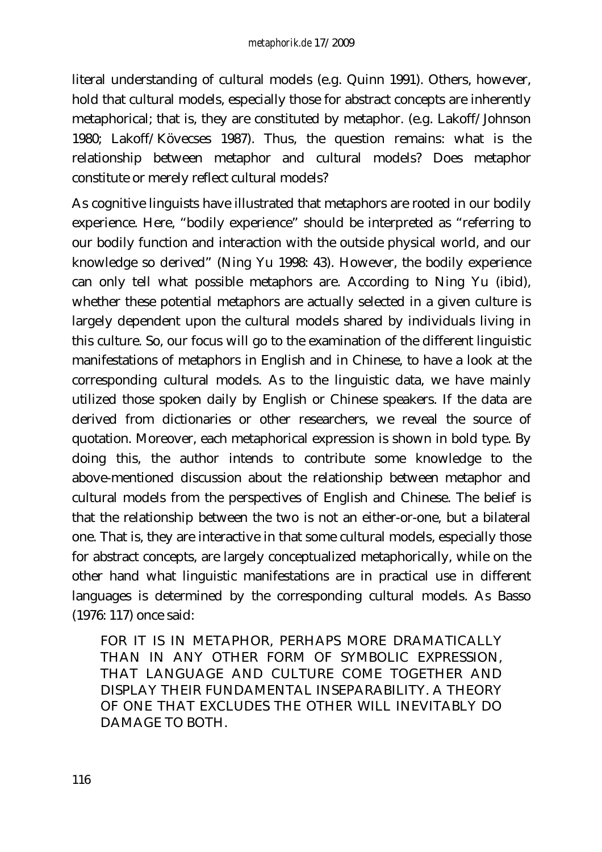literal understanding of cultural models (e.g. Quinn 1991). Others, however, hold that cultural models, especially those for abstract concepts are inherently metaphorical; that is, they are constituted by metaphor. (e.g. Lakoff/Johnson 1980; Lakoff/Kövecses 1987). Thus, the question remains: what is the relationship between metaphor and cultural models? Does metaphor constitute or merely reflect cultural models?

As cognitive linguists have illustrated that metaphors are rooted in our bodily experience. Here, "bodily experience" should be interpreted as "referring to our bodily function and interaction with the outside physical world, and our knowledge so derived" (Ning Yu 1998: 43). However, the bodily experience can only tell what possible metaphors are. According to Ning Yu (ibid), whether these potential metaphors are actually selected in a given culture is largely dependent upon the cultural models shared by individuals living in this culture. So, our focus will go to the examination of the different linguistic manifestations of metaphors in English and in Chinese, to have a look at the corresponding cultural models. As to the linguistic data, we have mainly utilized those spoken daily by English or Chinese speakers. If the data are derived from dictionaries or other researchers, we reveal the source of quotation. Moreover, each metaphorical expression is shown in bold type. By doing this, the author intends to contribute some knowledge to the above-mentioned discussion about the relationship between metaphor and cultural models from the perspectives of English and Chinese. The belief is that the relationship between the two is not an either-or-one, but a bilateral one. That is, they are interactive in that some cultural models, especially those for abstract concepts, are largely conceptualized metaphorically, while on the other hand what linguistic manifestations are in practical use in different languages is determined by the corresponding cultural models. As Basso (1976: 117) once said:

FOR IT IS IN METAPHOR, PERHAPS MORE DRAMATICALLY THAN IN ANY OTHER FORM OF SYMBOLIC EXPRESSION, THAT LANGUAGE AND CULTURE COME TOGETHER AND DISPLAY THEIR FUNDAMENTAL INSEPARABILITY. A THEORY OF ONE THAT EXCLUDES THE OTHER WILL INEVITABLY DO DAMAGE TO BOTH.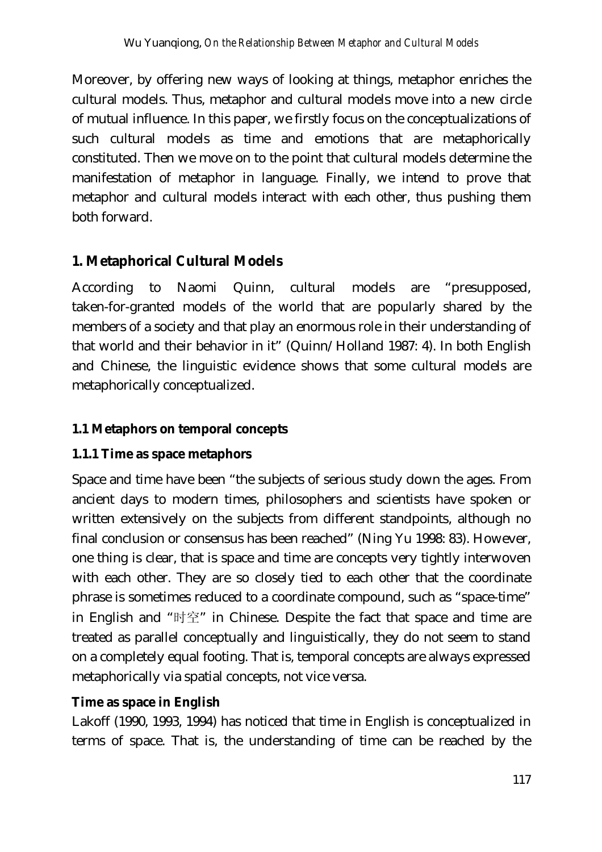Moreover, by offering new ways of looking at things, metaphor enriches the cultural models. Thus, metaphor and cultural models move into a new circle of mutual influence. In this paper, we firstly focus on the conceptualizations of such cultural models as time and emotions that are metaphorically constituted. Then we move on to the point that cultural models determine the manifestation of metaphor in language. Finally, we intend to prove that metaphor and cultural models interact with each other, thus pushing them both forward.

# **1. Metaphorical Cultural Models**

According to Naomi Quinn, cultural models are "presupposed, taken-for-granted models of the world that are popularly shared by the members of a society and that play an enormous role in their understanding of that world and their behavior in it" (Quinn/Holland 1987: 4). In both English and Chinese, the linguistic evidence shows that some cultural models are metaphorically conceptualized.

### **1.1 Metaphors on temporal concepts**

#### **1.1.1 Time as space metaphors**

Space and time have been "the subjects of serious study down the ages. From ancient days to modern times, philosophers and scientists have spoken or written extensively on the subjects from different standpoints, although no final conclusion or consensus has been reached" (Ning Yu 1998: 83). However, one thing is clear, that is space and time are concepts very tightly interwoven with each other. They are so closely tied to each other that the coordinate phrase is sometimes reduced to a coordinate compound, such as "space-time" in English and "时空" in Chinese. Despite the fact that space and time are treated as parallel conceptually and linguistically, they do not seem to stand on a completely equal footing. That is, temporal concepts are always expressed metaphorically via spatial concepts, not vice versa.

#### **Time as space in English**

Lakoff (1990, 1993, 1994) has noticed that time in English is conceptualized in terms of space. That is, the understanding of time can be reached by the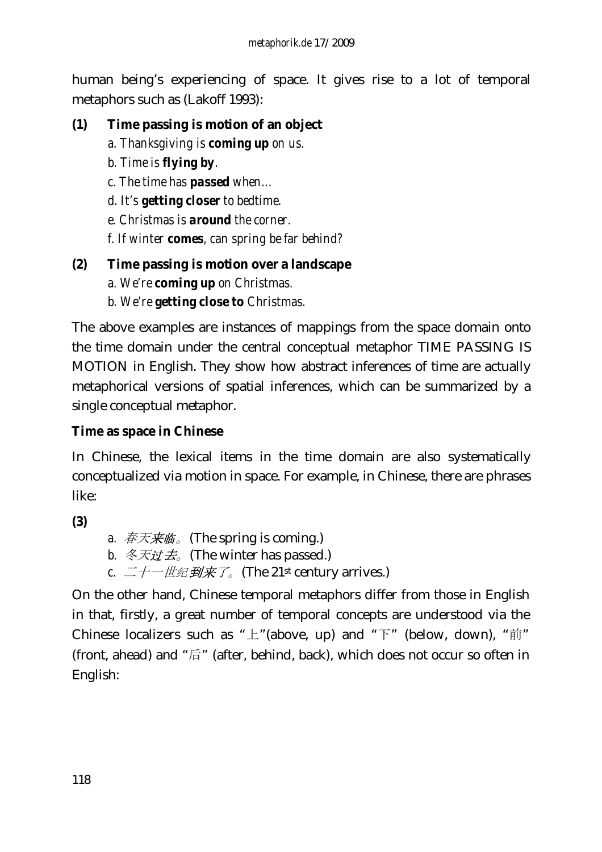human being's experiencing of space. It gives rise to a lot of temporal metaphors such as (Lakoff 1993):

### **(1) Time passing is motion of an object**

- *a. Thanksgiving is coming up on us.*
- *b. Time is flying by.*
- *c. The time has passed when…*
- *d. It's getting closer to bedtime.*
- *e. Christmas is around the corner.*
- *f. If winter comes, can spring be far behind?*

#### **(2) Time passing is motion over a landscape**

- *a. We're coming up on Christmas.*
- *b. We're getting close to Christmas.*

The above examples are instances of mappings from the space domain onto the time domain under the central conceptual metaphor TIME PASSING IS MOTION in English. They show how abstract inferences of time are actually metaphorical versions of spatial inferences, which can be summarized by a single conceptual metaphor.

#### **Time as space in Chinese**

In Chinese, the lexical items in the time domain are also systematically conceptualized via motion in space. For example, in Chinese, there are phrases like:

**(3)** 

- *a.* 春天来临。(The spring is coming.)
- *b.* 冬天过去<sub>*c*</sub> (The winter has passed.)
- *c.* 二十一世纪到来了。(The 21st century arrives.)

On the other hand, Chinese temporal metaphors differ from those in English in that, firstly, a great number of temporal concepts are understood via the Chinese localizers such as " $\pm$ "(above, up) and " $\mp$ " (below, down), " $\sharp$ ji" (front, ahead) and "后" (after, behind, back), which does not occur so often in English: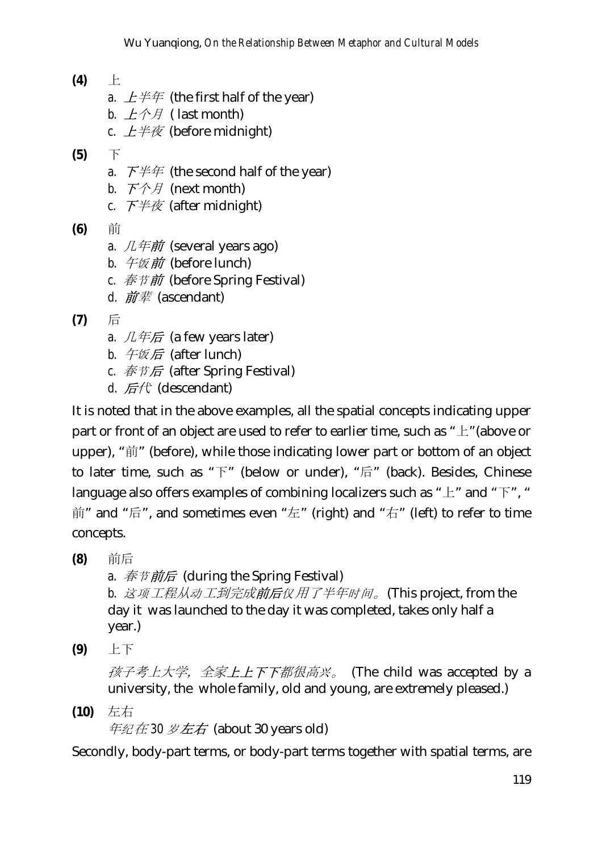- **(4)** 上
	- *a.*  $L \neq \#$  (the first half of the year)
	- *b.*  $L \hat{\wedge} H$  ( last month)
	- *c.*  $L \neq \bar{\mathcal{R}}$  (before midnight)
- **(5)** 下
	- *a.*  $\overline{F} \# \#$  (the second half of the year)
	- *b.* 下个月 (next month)
	- *c.* 下半夜 (after midnight)
- **(6)** 前
	- *a.*  $\mathcal{L} \neq \mathcal{H}$  (several years ago)
	- *b.* 午饭前 (before lunch)
	- *c.* 春节前 (before Spring Festival)
	- *d.* 前辈 (ascendant)
- **(7)** 后
	- *a.*  $\mathcal{L} \# \mathcal{F}$  (a few years later)
	- *b.* 午饭后 (after lunch)
	- *c.* 春节后 (after Spring Festival)
	- d. 后代 (descendant)

It is noted that in the above examples, all the spatial concepts indicating upper part or front of an object are used to refer to earlier time, such as "上"(above or upper), "前" (before), while those indicating lower part or bottom of an object to later time, such as "下" (below or under), "后" (back). Besides, Chinese language also offers examples of combining localizers such as " $\pm$ " and " $\overline{F}$ ", " 前" and "后", and sometimes even "左" (right) and "右" (left) to refer to time concepts.

**(8)** 前后

*a.* 春节前后 (during the Spring Festival)

 *b.* 这项工程从动工到完成前后仅用了半年时间。(This project, from the day it was launched to the day it was completed, takes only half a year.)

**(9)** 上下

孩子考上大学,全家上上下下都很高兴。 (The child was accepted by a university, the whole family, old and young, are extremely pleased.)

**(10)** 左右 年纪在 *30* 岁左右 (about 30 years old)

Secondly, body-part terms, or body-part terms together with spatial terms, are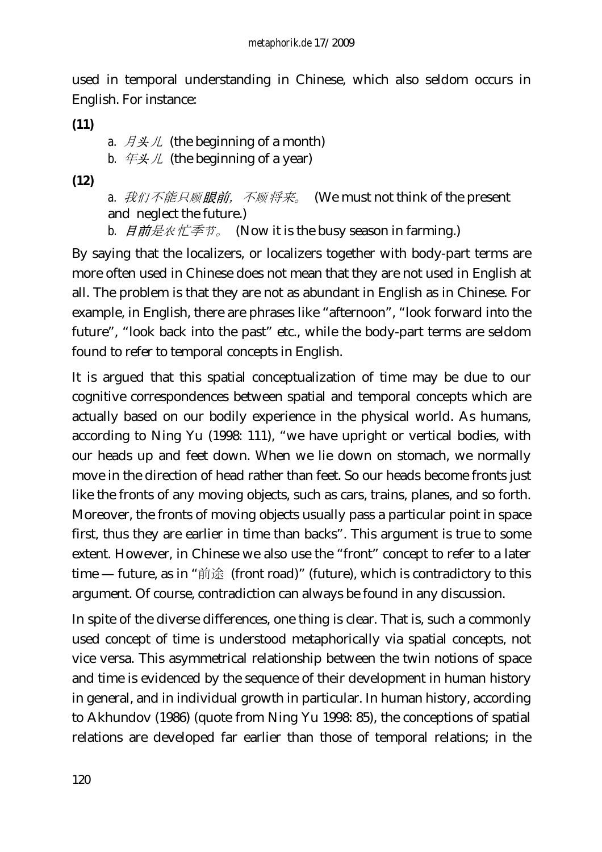used in temporal understanding in Chinese, which also seldom occurs in English. For instance:

**(11)**

*a.*  $\overrightarrow{H} \not\leq \mathcal{H}$  (the beginning of a month)

*b.*  $\# \cancel{\mathcal{F}} \mathcal{L}$  (the beginning of a year)

**(12)**

*a.* 我们不能只顾眼前,不顾将来。 (We must not think of the present and neglect the future.)

*b.* 日前是农忙季节。 (Now it is the busy season in farming.)

By saying that the localizers, or localizers together with body-part terms are more often used in Chinese does not mean that they are not used in English at all. The problem is that they are not as abundant in English as in Chinese. For example, in English, there are phrases like "afternoon", "look forward into the future", "look back into the past" etc., while the body-part terms are seldom found to refer to temporal concepts in English.

It is argued that this spatial conceptualization of time may be due to our cognitive correspondences between spatial and temporal concepts which are actually based on our bodily experience in the physical world. As humans, according to Ning Yu (1998: 111), "we have upright or vertical bodies, with our heads up and feet down. When we lie down on stomach, we normally move in the direction of head rather than feet. So our heads become fronts just like the fronts of any moving objects, such as cars, trains, planes, and so forth. Moreover, the fronts of moving objects usually pass a particular point in space first, thus they are earlier in time than backs". This argument is true to some extent. However, in Chinese we also use the "front" concept to refer to a later time — future, as in "前途 (front road)" (future), which is contradictory to this argument. Of course, contradiction can always be found in any discussion.

In spite of the diverse differences, one thing is clear. That is, such a commonly used concept of time is understood metaphorically via spatial concepts, not vice versa. This asymmetrical relationship between the twin notions of space and time is evidenced by the sequence of their development in human history in general, and in individual growth in particular. In human history, according to Akhundov (1986) (quote from Ning Yu 1998: 85), the conceptions of spatial relations are developed far earlier than those of temporal relations; in the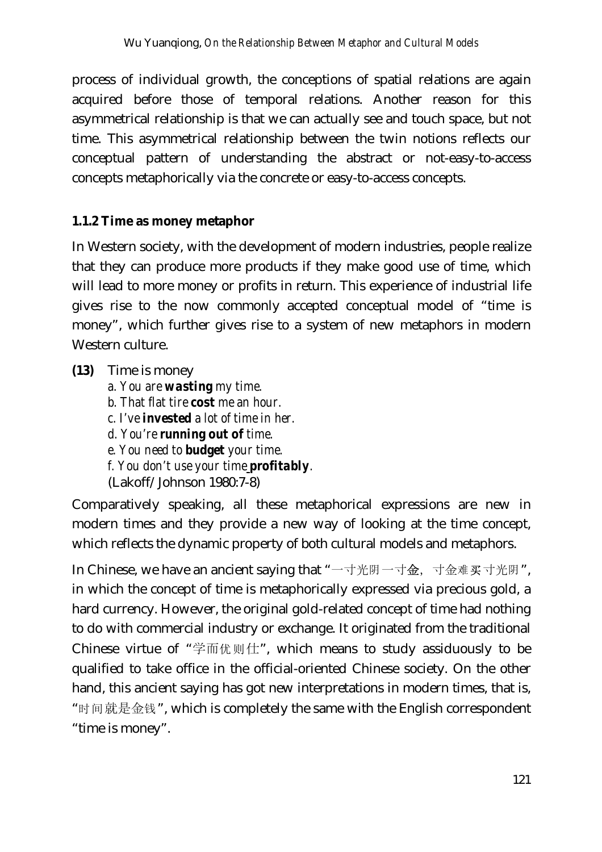process of individual growth, the conceptions of spatial relations are again acquired before those of temporal relations. Another reason for this asymmetrical relationship is that we can actually see and touch space, but not time. This asymmetrical relationship between the twin notions reflects our conceptual pattern of understanding the abstract or not-easy-to-access concepts metaphorically via the concrete or easy-to-access concepts.

#### **1.1.2 Time as money metaphor**

In Western society, with the development of modern industries, people realize that they can produce more products if they make good use of time, which will lead to more money or profits in return. This experience of industrial life gives rise to the now commonly accepted conceptual model of "time is money", which further gives rise to a system of new metaphors in modern Western culture.

- **(13)** Time is money
	- *a. You are wasting my time. b. That flat tire cost me an hour. c. I've invested a lot of time in her. d. You're running out of time. e. You need to budget your time. f. You don't use your time profitably.* (Lakoff/Johnson 1980:7-8)

Comparatively speaking, all these metaphorical expressions are new in modern times and they provide a new way of looking at the time concept, which reflects the dynamic property of both cultural models and metaphors.

In Chinese, we have an ancient saying that "一寸光阴一寸金, 寸金难买寸光阴", in which the concept of time is metaphorically expressed via precious gold, a hard currency. However, the original gold-related concept of time had nothing to do with commercial industry or exchange. It originated from the traditional Chinese virtue of "学而优则仕", which means to study assiduously to be qualified to take office in the official-oriented Chinese society. On the other hand, this ancient saying has got new interpretations in modern times, that is, "时间就是金钱", which is completely the same with the English correspondent "time is money".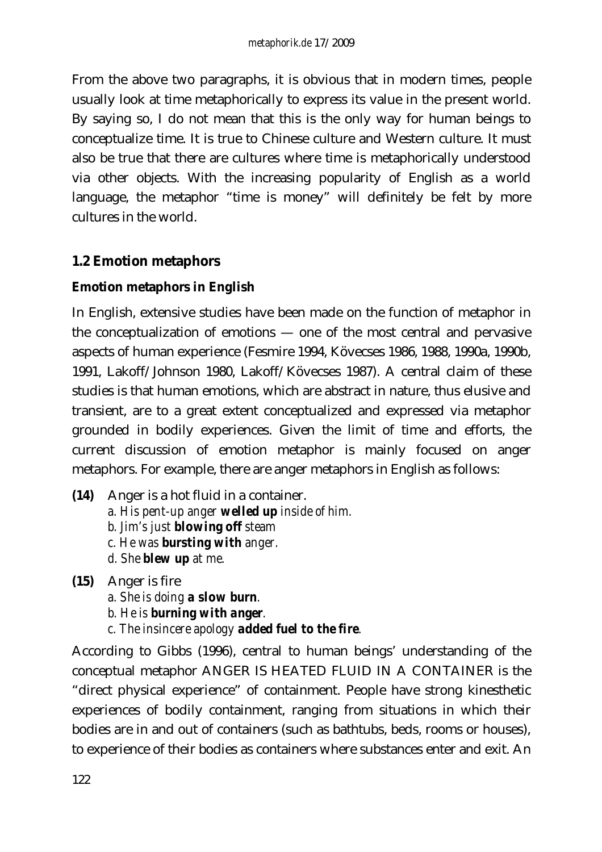From the above two paragraphs, it is obvious that in modern times, people usually look at time metaphorically to express its value in the present world. By saying so, I do not mean that this is the only way for human beings to conceptualize time. It is true to Chinese culture and Western culture. It must also be true that there are cultures where time is metaphorically understood via other objects. With the increasing popularity of English as a world language, the metaphor "time is money" will definitely be felt by more cultures in the world.

### **1.2 Emotion metaphors**

#### **Emotion metaphors in English**

In English, extensive studies have been made on the function of metaphor in the conceptualization of emotions — one of the most central and pervasive aspects of human experience (Fesmire 1994, Kövecses 1986, 1988, 1990a, 1990b, 1991, Lakoff/Johnson 1980, Lakoff/Kövecses 1987). A central claim of these studies is that human emotions, which are abstract in nature, thus elusive and transient, are to a great extent conceptualized and expressed via metaphor grounded in bodily experiences. Given the limit of time and efforts, the current discussion of emotion metaphor is mainly focused on anger metaphors. For example, there are anger metaphors in English as follows:

- **(14)** Anger is a hot fluid in a container. *a. His pent-up anger welled up inside of him. b. Jim's just blowing off steam c. He was bursting with anger. d. She blew up at me.*
- **(15)** Anger is fire
	- *a. She is doing a slow burn.*
	- *b. He is burning with anger.*
	- *c. The insincere apology added fuel to the fire.*

According to Gibbs (1996), central to human beings' understanding of the conceptual metaphor ANGER IS HEATED FLUID IN A CONTAINER is the "direct physical experience" of containment. People have strong kinesthetic experiences of bodily containment, ranging from situations in which their bodies are in and out of containers (such as bathtubs, beds, rooms or houses), to experience of their bodies as containers where substances enter and exit. An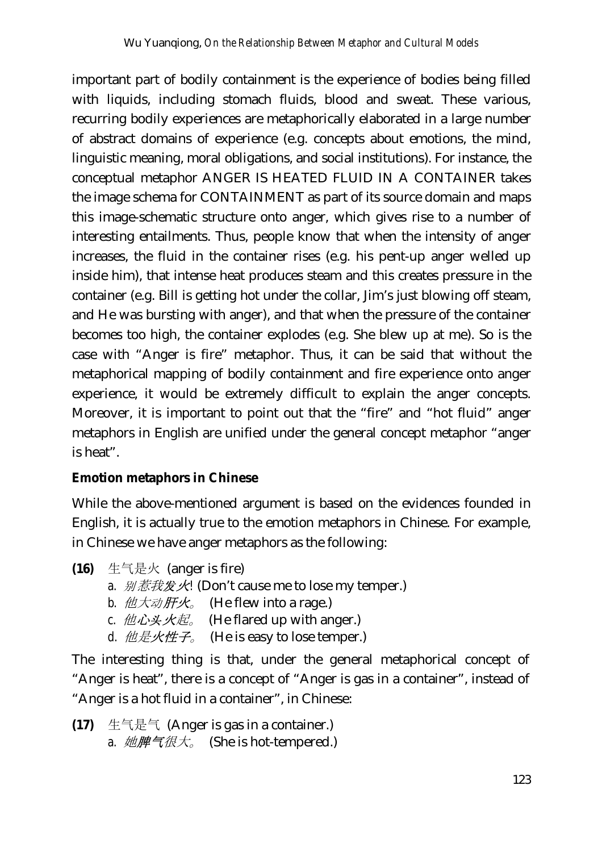important part of bodily containment is the experience of bodies being filled with liquids, including stomach fluids, blood and sweat. These various, recurring bodily experiences are metaphorically elaborated in a large number of abstract domains of experience (e.g. concepts about emotions, the mind, linguistic meaning, moral obligations, and social institutions). For instance, the conceptual metaphor ANGER IS HEATED FLUID IN A CONTAINER takes the image schema for CONTAINMENT as part of its source domain and maps this image-schematic structure onto anger, which gives rise to a number of interesting entailments. Thus, people know that when the intensity of anger increases, the fluid in the container rises (e.g. his pent-up anger welled up inside him), that intense heat produces steam and this creates pressure in the container (e.g. Bill is getting hot under the collar, Jim's just blowing off steam, and He was bursting with anger), and that when the pressure of the container becomes too high, the container explodes (e.g. She blew up at me). So is the case with "Anger is fire" metaphor. Thus, it can be said that without the metaphorical mapping of bodily containment and fire experience onto anger experience, it would be extremely difficult to explain the anger concepts. Moreover, it is important to point out that the "fire" and "hot fluid" anger metaphors in English are unified under the general concept metaphor "anger is heat".

#### **Emotion metaphors in Chinese**

While the above-mentioned argument is based on the evidences founded in English, it is actually true to the emotion metaphors in Chinese. For example, in Chinese we have anger metaphors as the following:

- **(16)** 生气是火 (anger is fire)
	- *a.* 别惹我发火*!* (Don't cause me to lose my temper.)
	- *b.* 他大动肝火。 (He flew into a rage.)
	- *c.*  $\hat{\mu}\hat{\mu}\times\hat{\mathcal{H}}$  (He flared up with anger.)
	- d.  $\Delta \text{E}$  **他是火性子**。 (He is easy to lose temper.)

The interesting thing is that, under the general metaphorical concept of "Anger is heat", there is a concept of "Anger is gas in a container", instead of "Anger is a hot fluid in a container", in Chinese:

**(17)** 生气是气 (Anger is gas in a container.) *a.* 她脾气很大。 (She is hot-tempered.)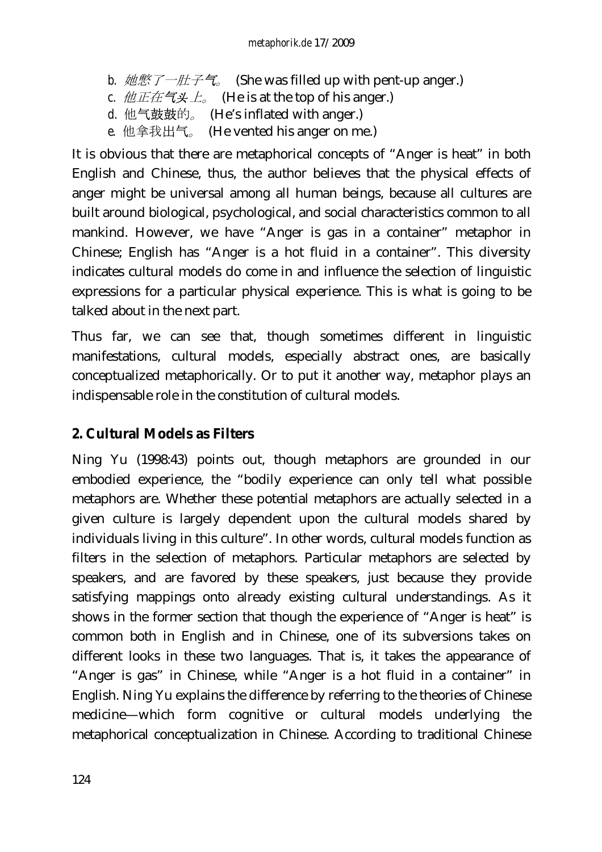- *b.* 她憋了一肚子气。 (She was filled up with pent-up anger.)
- *c.* 他正在气头上<sub>。</sub> (He is at the top of his anger.)
- *d.* 他气鼓鼓的。 (He's inflated with anger.)
- $e.$  他拿我出气。 (He vented his anger on me.)

It is obvious that there are metaphorical concepts of "Anger is heat" in both English and Chinese, thus, the author believes that the physical effects of anger might be universal among all human beings, because all cultures are built around biological, psychological, and social characteristics common to all mankind. However, we have "Anger is gas in a container" metaphor in Chinese; English has "Anger is a hot fluid in a container". This diversity indicates cultural models do come in and influence the selection of linguistic expressions for a particular physical experience. This is what is going to be talked about in the next part.

Thus far, we can see that, though sometimes different in linguistic manifestations, cultural models, especially abstract ones, are basically conceptualized metaphorically. Or to put it another way, metaphor plays an indispensable role in the constitution of cultural models.

### **2. Cultural Models as Filters**

Ning Yu (1998:43) points out, though metaphors are grounded in our embodied experience, the "bodily experience can only tell what possible metaphors are. Whether these potential metaphors are actually selected in a given culture is largely dependent upon the cultural models shared by individuals living in this culture". In other words, cultural models function as filters in the selection of metaphors. Particular metaphors are selected by speakers, and are favored by these speakers, just because they provide satisfying mappings onto already existing cultural understandings. As it shows in the former section that though the experience of "Anger is heat" is common both in English and in Chinese, one of its subversions takes on different looks in these two languages. That is, it takes the appearance of "Anger is gas" in Chinese, while "Anger is a hot fluid in a container" in English. Ning Yu explains the difference by referring to the theories of Chinese medicine—which form cognitive or cultural models underlying the metaphorical conceptualization in Chinese. According to traditional Chinese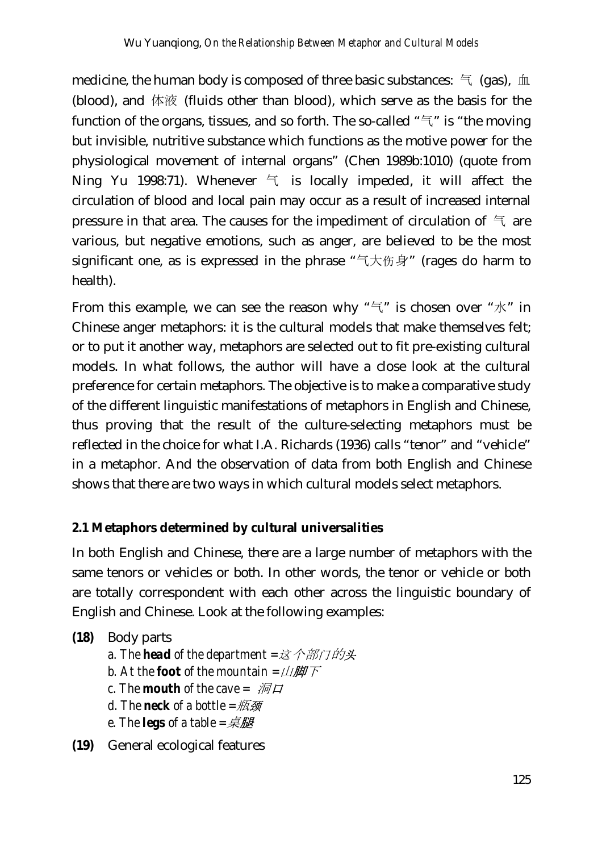medicine, the human body is composed of three basic substances:  $\pm$  (gas),  $\pm$ (blood), and 体液 (fluids other than blood), which serve as the basis for the function of the organs, tissues, and so forth. The so-called " $\equiv$ " is "the moving but invisible, nutritive substance which functions as the motive power for the physiological movement of internal organs" (Chen 1989b:1010) (quote from Ning Yu 1998:71). Whenever  $\leq$  is locally impeded, it will affect the circulation of blood and local pain may occur as a result of increased internal pressure in that area. The causes for the impediment of circulation of  $\in$  are various, but negative emotions, such as anger, are believed to be the most significant one, as is expressed in the phrase "气大伤身" (rages do harm to health).

From this example, we can see the reason why " $\leq$ " is chosen over " $\mathcal{K}$ " in Chinese anger metaphors: it is the cultural models that make themselves felt; or to put it another way, metaphors are selected out to fit pre-existing cultural models. In what follows, the author will have a close look at the cultural preference for certain metaphors. The objective is to make a comparative study of the different linguistic manifestations of metaphors in English and Chinese, thus proving that the result of the culture-selecting metaphors must be reflected in the choice for what I.A. Richards (1936) calls "tenor" and "vehicle" in a metaphor. And the observation of data from both English and Chinese shows that there are two ways in which cultural models select metaphors.

#### **2.1 Metaphors determined by cultural universalities**

In both English and Chinese, there are a large number of metaphors with the same tenors or vehicles or both. In other words, the tenor or vehicle or both are totally correspondent with each other across the linguistic boundary of English and Chinese. Look at the following examples:

**(18)** Body parts

- *a. The head of the department =*这个部门的头
- *b.* At the **foot** of the mountain  $=$ 山脚下
- *c.* The *mouth* of the cave =  $\mathcal{M}$
- *d. The neck of a bottle =*瓶颈
- *e. The legs of a table =*桌腿

**(19)** General ecological features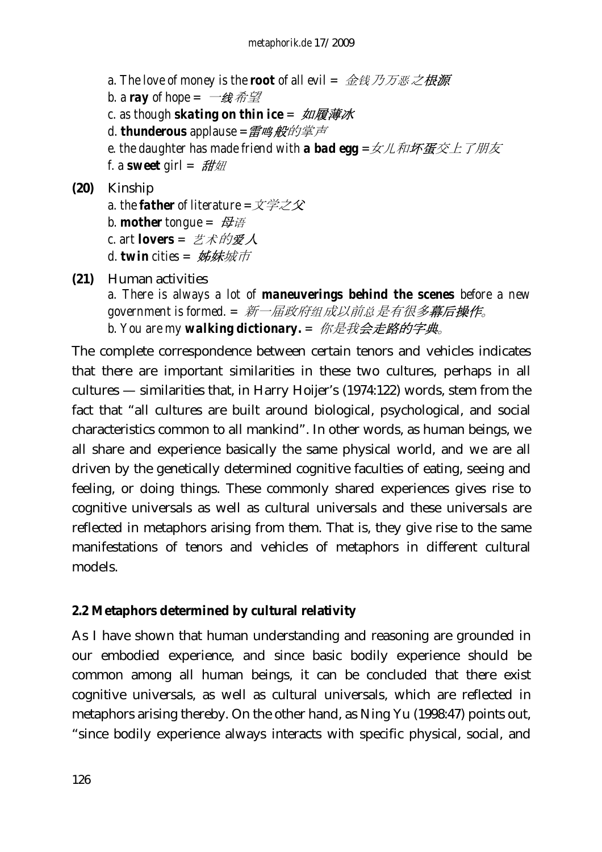*a. The love of money is the root of all evil =* 金钱乃万恶之根源 *b.* a ray of hope =  $\exists$ 线希望 *c. as though skating on thin ice =* 如履薄冰 *d. thunderous applause =*雷鸣般的掌声 *e. the daughter has made friend with a bad egg =*女儿和坏蛋交上了朋友 *f. a sweet girl =* 甜妞

# **(20)** Kinship

- *a. the father of literature =*文学之父 *b. mother* tongue =  $\frac{d}{dt}$ *c. art lovers =* 艺术的爱人
- *d. twin cities =* 姊妹城市
- **(21)** Human activities *a. There is always a lot of maneuverings behind the scenes before a new government is formed. =* 新一届政府组成以前总是有很多幕后操作。 *b. You are my walking dictionary. =* 你是我会走路的字典。

The complete correspondence between certain tenors and vehicles indicates that there are important similarities in these two cultures, perhaps in all cultures — similarities that, in Harry Hoijer's (1974:122) words, stem from the fact that "all cultures are built around biological, psychological, and social characteristics common to all mankind". In other words, as human beings, we all share and experience basically the same physical world, and we are all driven by the genetically determined cognitive faculties of eating, seeing and feeling, or doing things. These commonly shared experiences gives rise to cognitive universals as well as cultural universals and these universals are reflected in metaphors arising from them. That is, they give rise to the same manifestations of tenors and vehicles of metaphors in different cultural models.

#### **2.2 Metaphors determined by cultural relativity**

As I have shown that human understanding and reasoning are grounded in our embodied experience, and since basic bodily experience should be common among all human beings, it can be concluded that there exist cognitive universals, as well as cultural universals, which are reflected in metaphors arising thereby. On the other hand, as Ning Yu (1998:47) points out, "since bodily experience always interacts with specific physical, social, and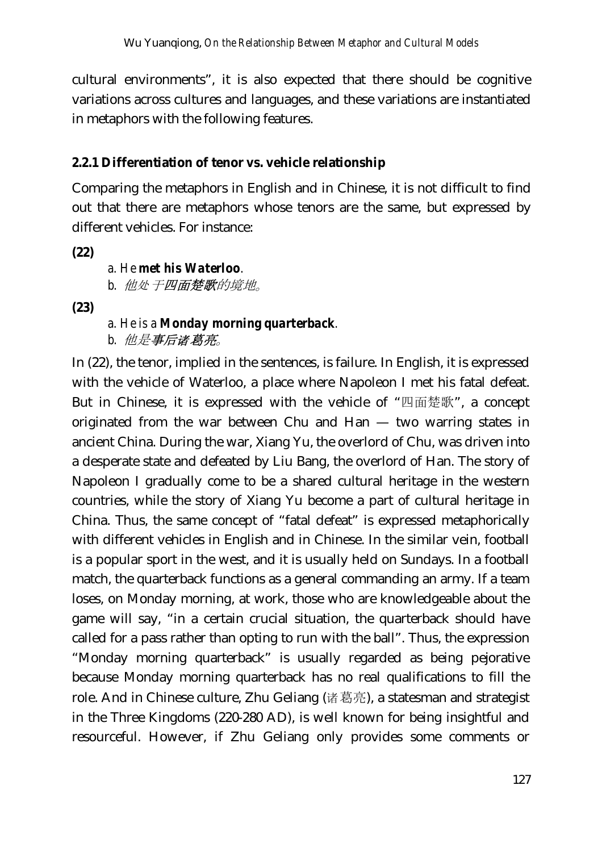cultural environments", it is also expected that there should be cognitive variations across cultures and languages, and these variations are instantiated in metaphors with the following features.

### **2.2.1 Differentiation of tenor vs. vehicle relationship**

Comparing the metaphors in English and in Chinese, it is not difficult to find out that there are metaphors whose tenors are the same, but expressed by different vehicles. For instance:

**(22)**

*a. He met his Waterloo. b.* 他处于四面楚歌的境地。

**(23)** 

*a. He is a Monday morning quarterback. b.* 他是事后诸葛亮。

In (22), the tenor, implied in the sentences, is failure. In English, it is expressed with the vehicle of Waterloo, a place where Napoleon I met his fatal defeat. But in Chinese, it is expressed with the vehicle of "四面楚歌", a concept originated from the war between Chu and Han — two warring states in ancient China. During the war, Xiang Yu, the overlord of Chu, was driven into a desperate state and defeated by Liu Bang, the overlord of Han. The story of Napoleon I gradually come to be a shared cultural heritage in the western countries, while the story of Xiang Yu become a part of cultural heritage in China. Thus, the same concept of "fatal defeat" is expressed metaphorically with different vehicles in English and in Chinese. In the similar vein, football is a popular sport in the west, and it is usually held on Sundays. In a football match, the quarterback functions as a general commanding an army. If a team loses, on Monday morning, at work, those who are knowledgeable about the game will say, "in a certain crucial situation, the quarterback should have called for a pass rather than opting to run with the ball". Thus, the expression "Monday morning quarterback" is usually regarded as being pejorative because Monday morning quarterback has no real qualifications to fill the role. And in Chinese culture, Zhu Geliang (诸葛亮), a statesman and strategist in the Three Kingdoms (220-280 AD), is well known for being insightful and resourceful. However, if Zhu Geliang only provides some comments or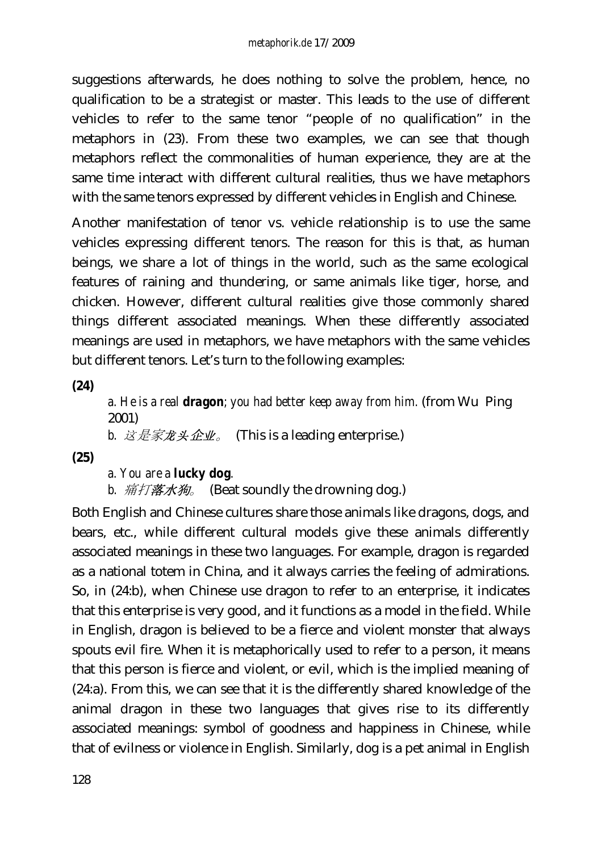suggestions afterwards, he does nothing to solve the problem, hence, no qualification to be a strategist or master. This leads to the use of different vehicles to refer to the same tenor "people of no qualification" in the metaphors in (23). From these two examples, we can see that though metaphors reflect the commonalities of human experience, they are at the same time interact with different cultural realities, thus we have metaphors with the same tenors expressed by different vehicles in English and Chinese.

Another manifestation of tenor vs. vehicle relationship is to use the same vehicles expressing different tenors. The reason for this is that, as human beings, we share a lot of things in the world, such as the same ecological features of raining and thundering, or same animals like tiger, horse, and chicken. However, different cultural realities give those commonly shared things different associated meanings. When these differently associated meanings are used in metaphors, we have metaphors with the same vehicles but different tenors. Let's turn to the following examples:

**(24)**

*a. He is a real dragon; you had better keep away from him.* (from Wu Ping 2001)

*b.* 这是家**龙头企业**。 (This is a leading enterprise.)

**(25)**

*a. You are a lucky dog.*

*b.* 痛打落水狗。 (Beat soundly the drowning dog.)

Both English and Chinese cultures share those animals like dragons, dogs, and bears, etc., while different cultural models give these animals differently associated meanings in these two languages. For example, dragon is regarded as a national totem in China, and it always carries the feeling of admirations. So, in (24:b), when Chinese use dragon to refer to an enterprise, it indicates that this enterprise is very good, and it functions as a model in the field. While in English, dragon is believed to be a fierce and violent monster that always spouts evil fire. When it is metaphorically used to refer to a person, it means that this person is fierce and violent, or evil, which is the implied meaning of (24:a). From this, we can see that it is the differently shared knowledge of the animal dragon in these two languages that gives rise to its differently associated meanings: symbol of goodness and happiness in Chinese, while that of evilness or violence in English. Similarly, dog is a pet animal in English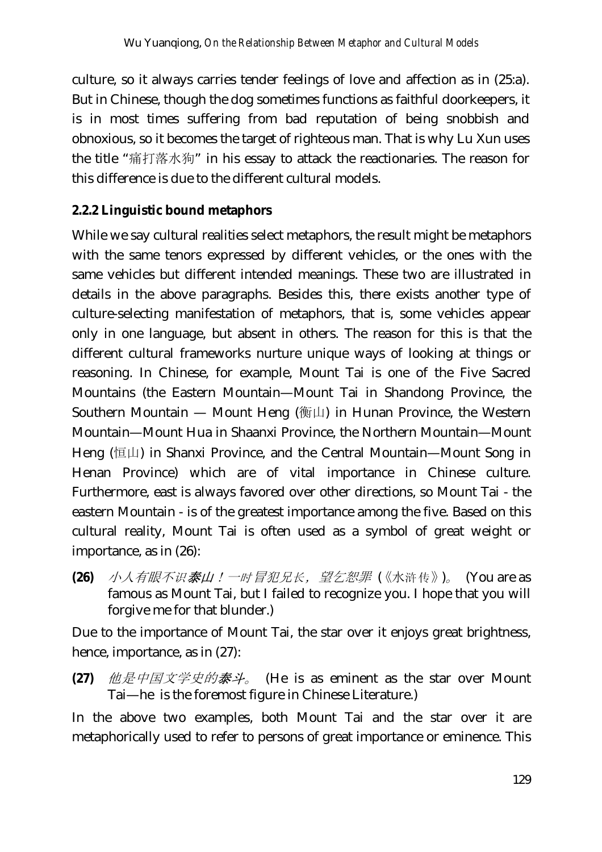culture, so it always carries tender feelings of love and affection as in (25:a). But in Chinese, though the dog sometimes functions as faithful doorkeepers, it is in most times suffering from bad reputation of being snobbish and obnoxious, so it becomes the target of righteous man. That is why Lu Xun uses the title "痛打落水狗" in his essay to attack the reactionaries. The reason for this difference is due to the different cultural models.

### **2.2.2 Linguistic bound metaphors**

While we say cultural realities select metaphors, the result might be metaphors with the same tenors expressed by different vehicles, or the ones with the same vehicles but different intended meanings. These two are illustrated in details in the above paragraphs. Besides this, there exists another type of culture-selecting manifestation of metaphors, that is, some vehicles appear only in one language, but absent in others. The reason for this is that the different cultural frameworks nurture unique ways of looking at things or reasoning. In Chinese, for example, Mount Tai is one of the Five Sacred Mountains (the Eastern Mountain—Mount Tai in Shandong Province, the Southern Mountain — Mount Heng (衡山) in Hunan Province, the Western Mountain—Mount Hua in Shaanxi Province, the Northern Mountain—Mount Heng (恒山) in Shanxi Province, and the Central Mountain—Mount Song in Henan Province) which are of vital importance in Chinese culture. Furthermore, east is always favored over other directions, so Mount Tai - the eastern Mountain - is of the greatest importance among the five. Based on this cultural reality, Mount Tai is often used as a symbol of great weight or importance, as in (26):

**(26)** 小人有眼不识泰山!一时冒犯兄长,望乞恕罪 (《水浒传》)。 (You are as famous as Mount Tai, but I failed to recognize you. I hope that you will forgive me for that blunder.)

Due to the importance of Mount Tai, the star over it enjoys great brightness, hence, importance, as in (27):

**(27)** 他是中国文学史的泰斗。 (He is as eminent as the star over Mount Tai—he is the foremost figure in Chinese Literature.)

In the above two examples, both Mount Tai and the star over it are metaphorically used to refer to persons of great importance or eminence. This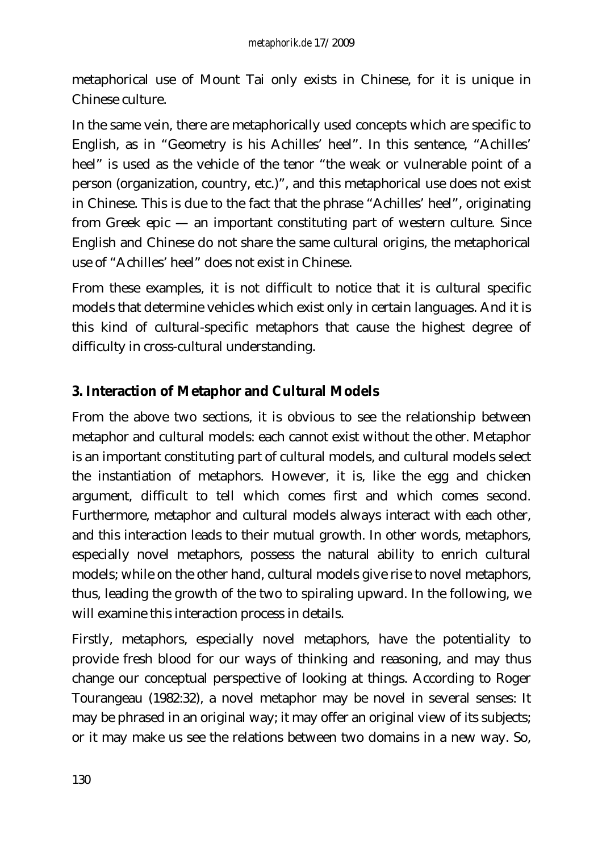metaphorical use of Mount Tai only exists in Chinese, for it is unique in Chinese culture.

In the same vein, there are metaphorically used concepts which are specific to English, as in "Geometry is his Achilles' heel". In this sentence, "Achilles' heel" is used as the vehicle of the tenor "the weak or vulnerable point of a person (organization, country, etc.)", and this metaphorical use does not exist in Chinese. This is due to the fact that the phrase "Achilles' heel", originating from Greek epic — an important constituting part of western culture. Since English and Chinese do not share the same cultural origins, the metaphorical use of "Achilles' heel" does not exist in Chinese.

From these examples, it is not difficult to notice that it is cultural specific models that determine vehicles which exist only in certain languages. And it is this kind of cultural-specific metaphors that cause the highest degree of difficulty in cross-cultural understanding.

# **3. Interaction of Metaphor and Cultural Models**

From the above two sections, it is obvious to see the relationship between metaphor and cultural models: each cannot exist without the other. Metaphor is an important constituting part of cultural models, and cultural models select the instantiation of metaphors. However, it is, like the egg and chicken argument, difficult to tell which comes first and which comes second. Furthermore, metaphor and cultural models always interact with each other, and this interaction leads to their mutual growth. In other words, metaphors, especially novel metaphors, possess the natural ability to enrich cultural models; while on the other hand, cultural models give rise to novel metaphors, thus, leading the growth of the two to spiraling upward. In the following, we will examine this interaction process in details.

Firstly, metaphors, especially novel metaphors, have the potentiality to provide fresh blood for our ways of thinking and reasoning, and may thus change our conceptual perspective of looking at things. According to Roger Tourangeau (1982:32), a novel metaphor may be novel in several senses: It may be phrased in an original way; it may offer an original view of its subjects; or it may make us see the relations between two domains in a new way. So,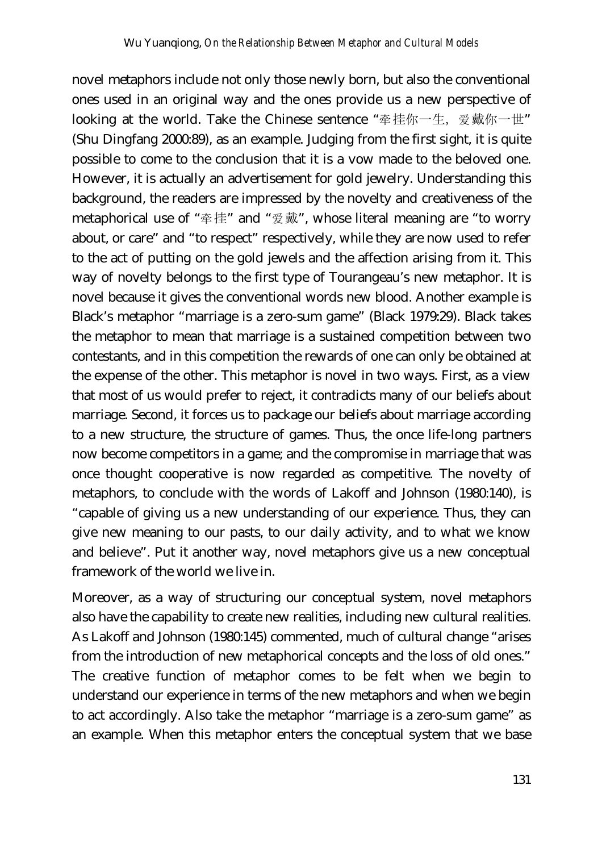novel metaphors include not only those newly born, but also the conventional ones used in an original way and the ones provide us a new perspective of looking at the world. Take the Chinese sentence "牵挂你一生, 爱戴你一世" (Shu Dingfang 2000:89), as an example. Judging from the first sight, it is quite possible to come to the conclusion that it is a vow made to the beloved one. However, it is actually an advertisement for gold jewelry. Understanding this background, the readers are impressed by the novelty and creativeness of the metaphorical use of "牵挂" and "爱戴", whose literal meaning are "to worry about, or care" and "to respect" respectively, while they are now used to refer to the act of putting on the gold jewels and the affection arising from it. This way of novelty belongs to the first type of Tourangeau's new metaphor. It is novel because it gives the conventional words new blood. Another example is Black's metaphor "marriage is a zero-sum game" (Black 1979:29). Black takes the metaphor to mean that marriage is a sustained competition between two contestants, and in this competition the rewards of one can only be obtained at the expense of the other. This metaphor is novel in two ways. First, as a view that most of us would prefer to reject, it contradicts many of our beliefs about marriage. Second, it forces us to package our beliefs about marriage according to a new structure, the structure of games. Thus, the once life-long partners now become competitors in a game; and the compromise in marriage that was once thought cooperative is now regarded as competitive. The novelty of metaphors, to conclude with the words of Lakoff and Johnson (1980:140), is "capable of giving us a new understanding of our experience. Thus, they can give new meaning to our pasts, to our daily activity, and to what we know and believe". Put it another way, novel metaphors give us a new conceptual framework of the world we live in.

Moreover, as a way of structuring our conceptual system, novel metaphors also have the capability to create new realities, including new cultural realities. As Lakoff and Johnson (1980:145) commented, much of cultural change "arises from the introduction of new metaphorical concepts and the loss of old ones." The creative function of metaphor comes to be felt when we begin to understand our experience in terms of the new metaphors and when we begin to act accordingly. Also take the metaphor "marriage is a zero-sum game" as an example. When this metaphor enters the conceptual system that we base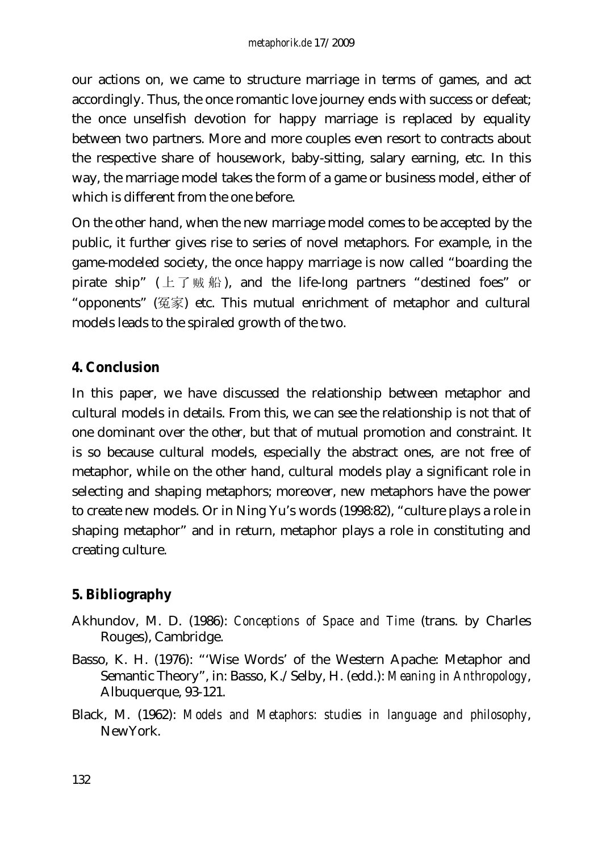our actions on, we came to structure marriage in terms of games, and act accordingly. Thus, the once romantic love journey ends with success or defeat; the once unselfish devotion for happy marriage is replaced by equality between two partners. More and more couples even resort to contracts about the respective share of housework, baby-sitting, salary earning, etc. In this way, the marriage model takes the form of a game or business model, either of which is different from the one before.

On the other hand, when the new marriage model comes to be accepted by the public, it further gives rise to series of novel metaphors. For example, in the game-modeled society, the once happy marriage is now called "boarding the pirate ship"  $(\pm \top \# \#)$ , and the life-long partners "destined foes" or "opponents" (冤家) etc. This mutual enrichment of metaphor and cultural models leads to the spiraled growth of the two.

### **4. Conclusion**

In this paper, we have discussed the relationship between metaphor and cultural models in details. From this, we can see the relationship is not that of one dominant over the other, but that of mutual promotion and constraint. It is so because cultural models, especially the abstract ones, are not free of metaphor, while on the other hand, cultural models play a significant role in selecting and shaping metaphors; moreover, new metaphors have the power to create new models. Or in Ning Yu's words (1998:82), "culture plays a role in shaping metaphor" and in return, metaphor plays a role in constituting and creating culture.

# **5. Bibliography**

- Akhundov, M. D. (1986): *Conceptions of Space and Time* (trans. by Charles Rouges), Cambridge.
- Basso, K. H. (1976): "'Wise Words' of the Western Apache: Metaphor and Semantic Theory", in: Basso, K./Selby, H. (edd.): *Meaning in Anthropology*, Albuquerque, 93-121.
- Black, M. (1962): *Models and Metaphors: studies in language and philosophy*, NewYork.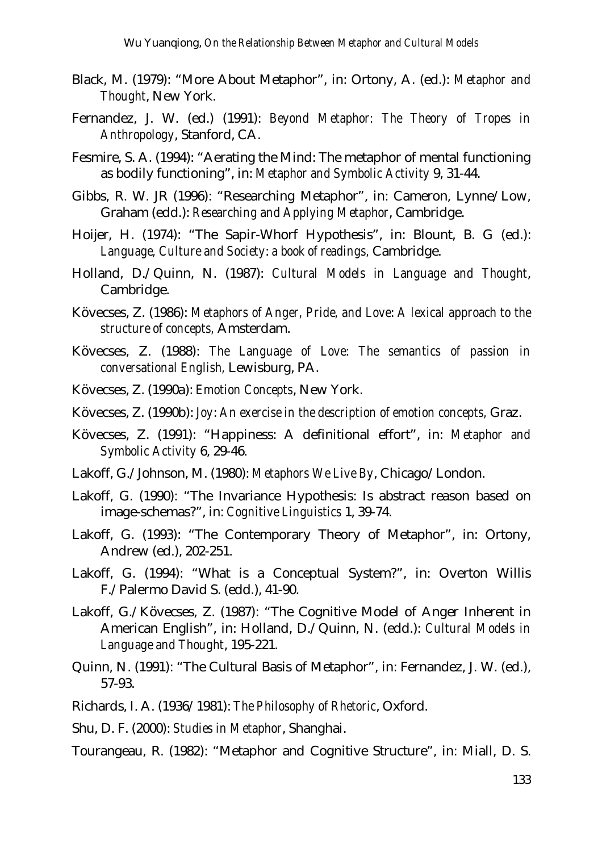- Black, M. (1979): "More About Metaphor", in: Ortony, A. (ed.): *Metaphor and Thought*, New York.
- Fernandez, J. W. (ed.) (1991): *Beyond Metaphor: The Theory of Tropes in Anthropology*, Stanford, CA.
- Fesmire, S. A. (1994): "Aerating the Mind: The metaphor of mental functioning as bodily functioning", in: *Metaphor and Symbolic Activity* 9, 31-44.
- Gibbs, R. W. JR (1996): "Researching Metaphor", in: Cameron, Lynne/Low, Graham (edd.): *Researching and Applying Metaphor*, Cambridge.
- Hoijer, H. (1974): "The Sapir-Whorf Hypothesis", in: Blount, B. G (ed.): *Language, Culture and Society*: *a book of readings,* Cambridge.
- Holland, D./Quinn, N. (1987): *Cultural Models in Language and Thought*, Cambridge.
- Kövecses, Z. (1986): *Metaphors of Anger, Pride, and Love*: *A lexical approach to the structure of concepts,* Amsterdam.
- Kövecses, Z. (1988): *The Language of Love*: *The semantics of passion in conversational English,* Lewisburg, PA.
- Kövecses, Z. (1990a): *Emotion Concepts*, New York.
- Kövecses, Z. (1990b): *Joy*: *An exercise in the description of emotion concepts,* Graz.
- Kövecses, Z. (1991): "Happiness: A definitional effort", in: *Metaphor and Symbolic Activity* 6, 29-46.
- Lakoff, G./Johnson, M. (1980): *Metaphors We Live By*, Chicago/London.
- Lakoff, G. (1990): "The Invariance Hypothesis: Is abstract reason based on image-schemas?", in: *Cognitive Linguistics* 1, 39-74.
- Lakoff, G. (1993): "The Contemporary Theory of Metaphor", in: Ortony, Andrew (ed.), 202-251.
- Lakoff, G. (1994): "What is a Conceptual System?", in: Overton Willis F./Palermo David S. (edd.), 41-90.
- Lakoff, G./Kövecses, Z. (1987): "The Cognitive Model of Anger Inherent in American English", in: Holland, D./Quinn, N. (edd.): *Cultural Models in Language and Thought*, 195-221.
- Quinn, N. (1991): "The Cultural Basis of Metaphor", in: Fernandez, J. W. (ed.), 57-93.
- Richards, I. A. (1936/1981): *The Philosophy of Rhetoric*, Oxford.
- Shu, D. F. (2000): *Studies in Metaphor*, Shanghai.
- Tourangeau, R. (1982): "Metaphor and Cognitive Structure", in: Miall, D. S.